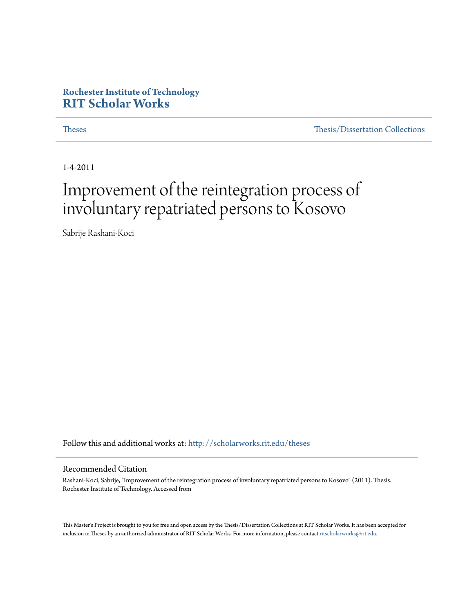#### **Rochester Institute of Technology [RIT Scholar Works](http://scholarworks.rit.edu?utm_source=scholarworks.rit.edu%2Ftheses%2F6847&utm_medium=PDF&utm_campaign=PDFCoverPages)**

[Theses](http://scholarworks.rit.edu/theses?utm_source=scholarworks.rit.edu%2Ftheses%2F6847&utm_medium=PDF&utm_campaign=PDFCoverPages) [Thesis/Dissertation Collections](http://scholarworks.rit.edu/etd_collections?utm_source=scholarworks.rit.edu%2Ftheses%2F6847&utm_medium=PDF&utm_campaign=PDFCoverPages)

1-4-2011

#### Improvement of the reintegration process of involuntary repatriated persons to Kosovo

Sabrije Rashani-Koci

Follow this and additional works at: [http://scholarworks.rit.edu/theses](http://scholarworks.rit.edu/theses?utm_source=scholarworks.rit.edu%2Ftheses%2F6847&utm_medium=PDF&utm_campaign=PDFCoverPages)

#### Recommended Citation

Rashani-Koci, Sabrije, "Improvement of the reintegration process of involuntary repatriated persons to Kosovo" (2011). Thesis. Rochester Institute of Technology. Accessed from

This Master's Project is brought to you for free and open access by the Thesis/Dissertation Collections at RIT Scholar Works. It has been accepted for inclusion in Theses by an authorized administrator of RIT Scholar Works. For more information, please contact [ritscholarworks@rit.edu](mailto:ritscholarworks@rit.edu).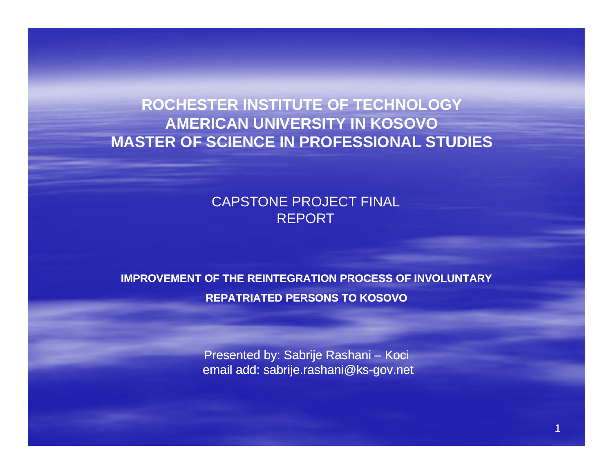**ROCHESTER INSTITUTE OF TECHNOLOGY AMERICAN UNIVERSITY IN KOSOVO MASTER OF SCIENCE IN PROFESSIONAL STUDIES**

> CAPSTONE PROJECT FINAL REPORT

**IMPROVEMENT OF THE REINTEGRATION PROCESS OF INVOLUNTARY REPATRIATED PERSONS TO KOSOVO**

> Presented by: Sabrije Rashani – Koci email add: sabrije.rashani@ks-gov.net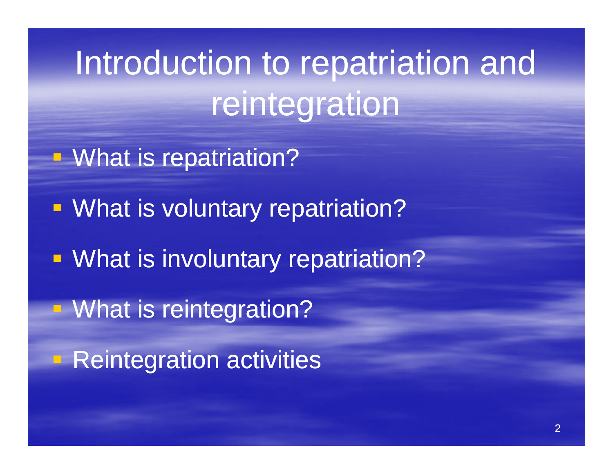# Introduction to repatriation and reintegration

**• What is repatriation?** 

**• What is voluntary repatriation?** 

**• What is involuntary repatriation?** 

**• What is reintegration?** 

**E** Reintegration activities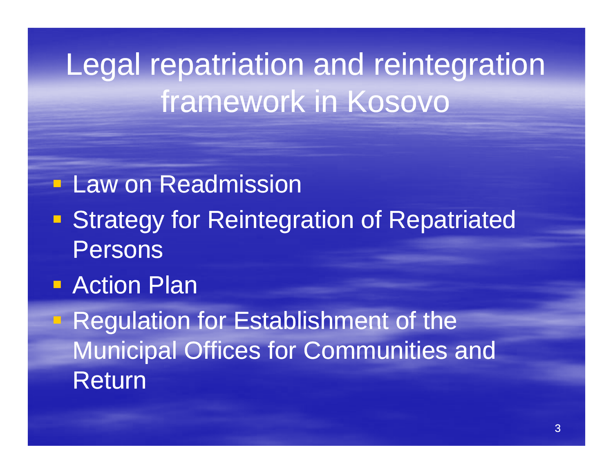# Legal repatriation and reintegration framework in Kosovo

- **Law on Readmission**
- **Strategy for Reintegration of Repatriated** Persons
- **E** Action Plan

 Regulation for Establishment of the Municipal Offices for Communities and Return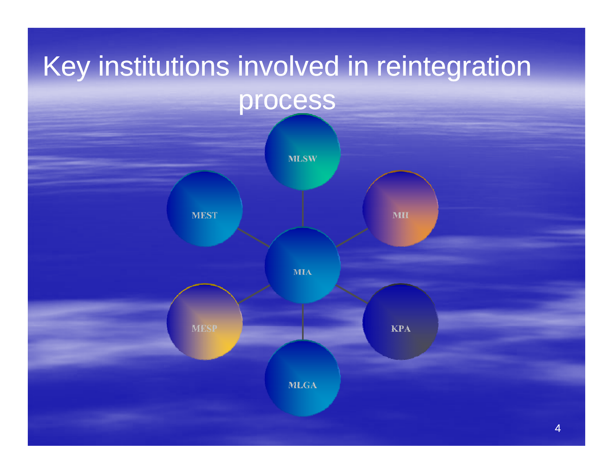## Key institutions involved in reintegration process

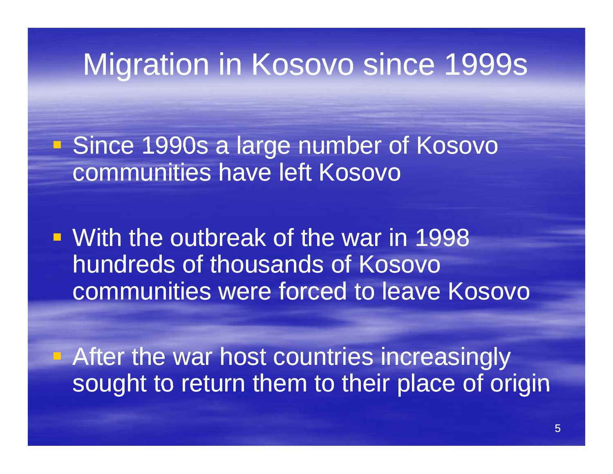## Migration in Kosovo since 1999s

**Since 1990s a large number of Kosovo** communities have left Kosovo

**• With the outbreak of the war in 1998** hundreds of thousands of Kosovo communities were forced to leave Kosovo

**• After the war host countries increasingly** sought to return them to their place of origin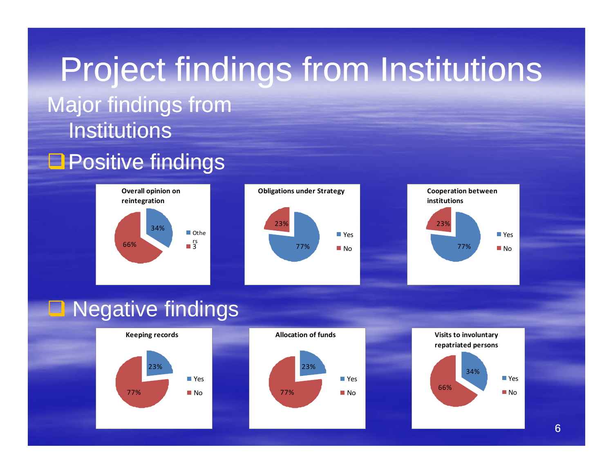## Project findings from Institutions Major findings from **Institutions**

#### **O** Positive findings







#### **Q** Negative findings

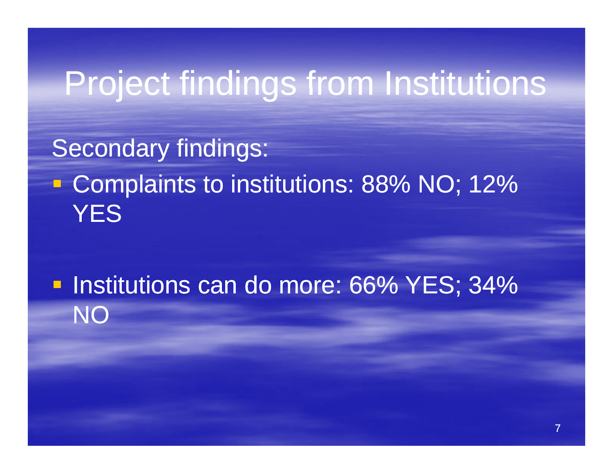# Project findings from Institutions

Secondary findings: ■ Complaints to institutions: 88% NO; 12% **YES** 

**Institutions can do more: 66% YES; 34%** NO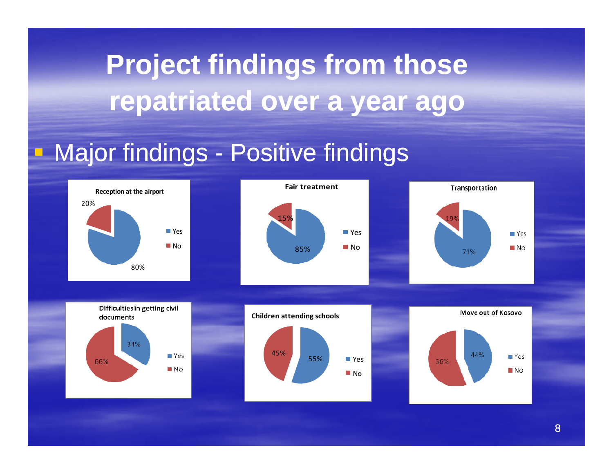#### **- Major findings - Positive findings**

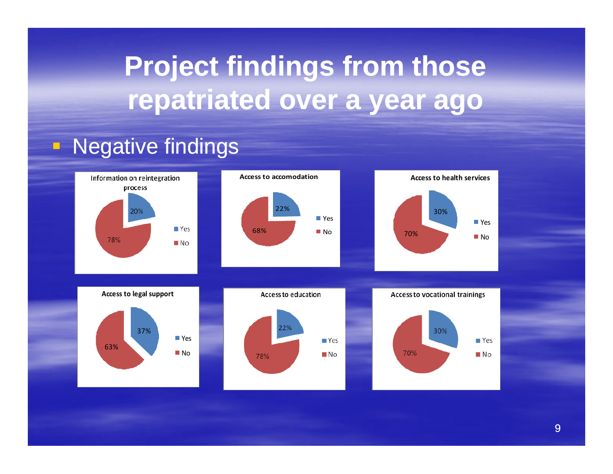#### **• Negative findings**

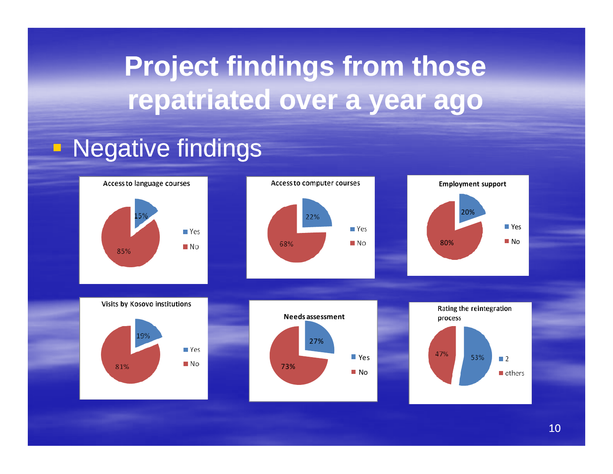#### **- Negative findings**

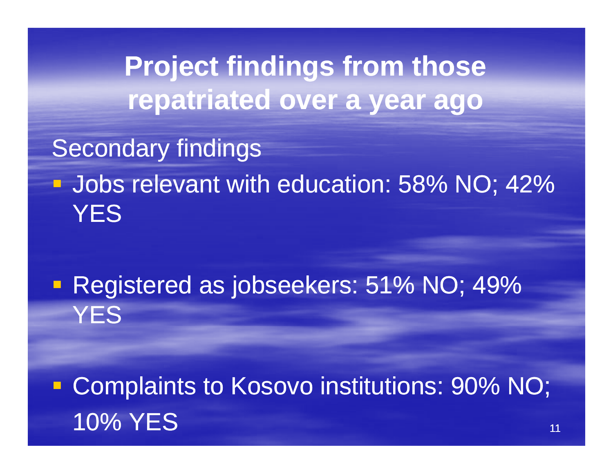Secondary findings **Jobs relevant with education: 58% NO; 42% YES** 

**Registered as jobseekers: 51% NO; 49% YES** 

**- Complaints to Kosovo institutions: 90% NO;** 10% YES 11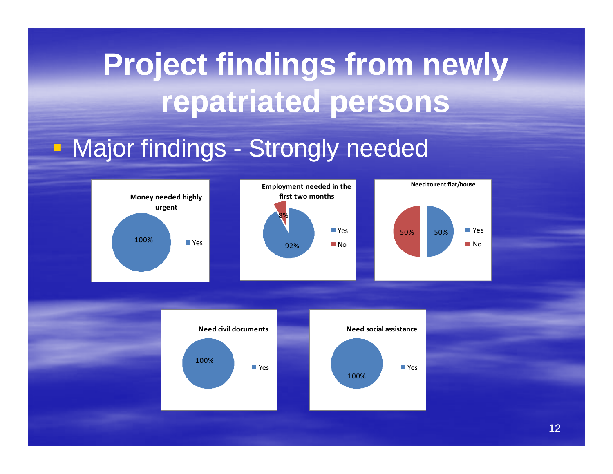# **Project findings from newly repatriated persons**

#### **- Major findings - Strongly needed**





12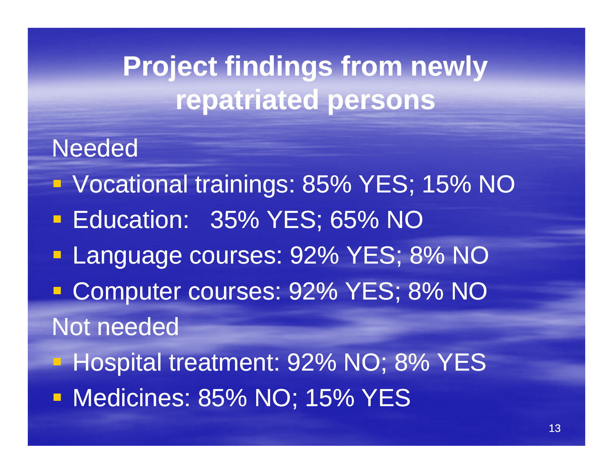## **Project findings from newly repatriated persons**

Needed

- Vocational trainings: 85% YES; 15% NO
- **Education: 35% YES; 65% NO**
- Language courses: 92% YES; 8% NO
- Computer courses: 92% YES; 8% NO

Not needed

- Hospital treatment: 92% NO; 8% YES
- Medicines: 85% NO; 15% YES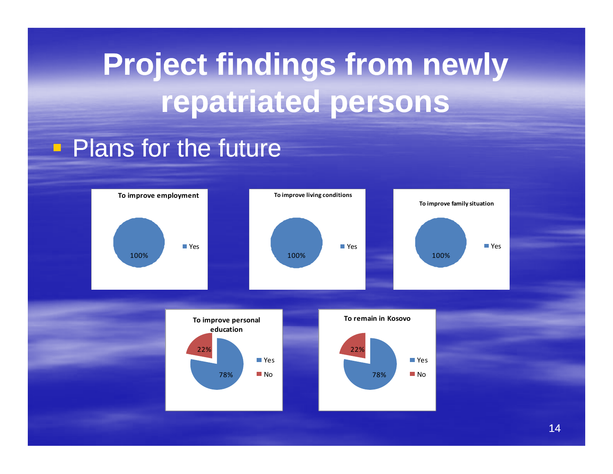# **Project findings from newly repatriated persons**

#### **Plans for the future**

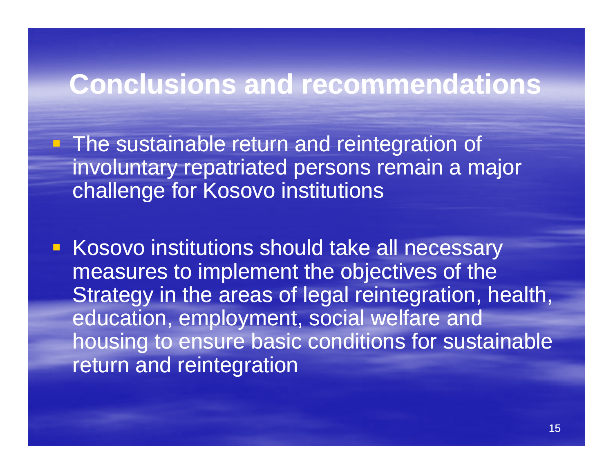### **Conclusions and recommendations**

**The sustainable return and reintegration of** involuntary repatriated persons remain a major challenge for Kosovo institutions

**Kosovo institutions should take all necessary** measures to implement the objectives of the Strategy in the areas of legal reintegration, health, education, employment, social welfare and housing to ensure basic conditions for sustainable return and reintegration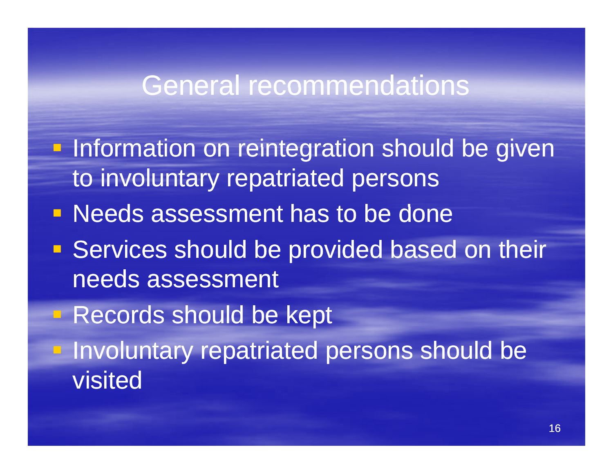### General recommendations

- **Information on reintegration should be given** to involuntary repatriated persons
- **Needs assessment has to be done**
- **Services should be provided based on their** needs assessment
- **Execords should be kept**
- **Involuntary repatriated persons should be** visited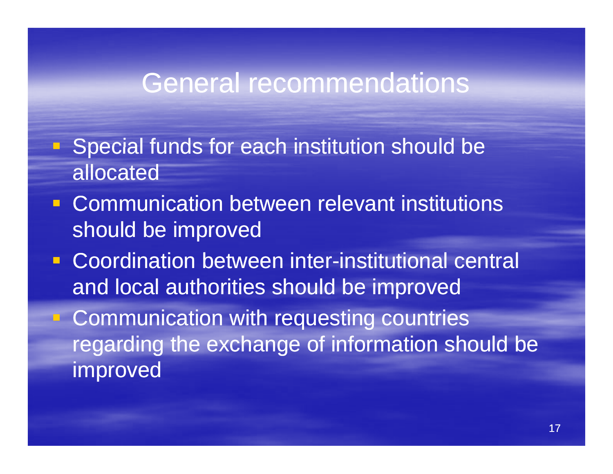### General recommendations

- **Special funds for each institution should be s** allocated
- **E** Communication between relevant institutions should be improved
- Coordination between inter-institutional central and local authorities should be improved

**E** Communication with requesting countries regarding the exchange of information should be improved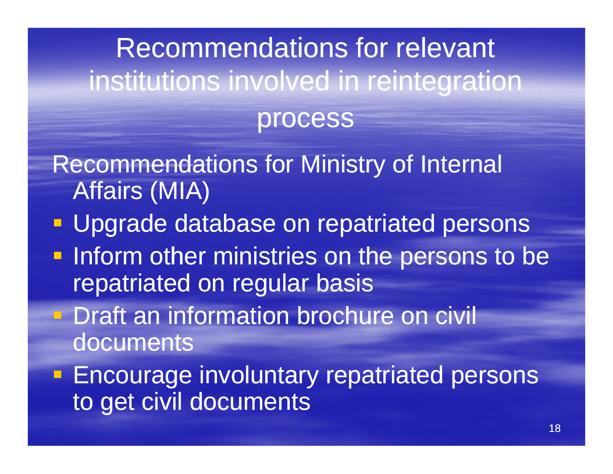## Recommendations for relevant institutions involved in reintegration process

- Recommendations for Ministry of Internal Affairs (MIA)
- **Upgrade database on repatriated persons**
- **Inform other ministries on the persons to be** repatriated on regular basis
- **Draft an information brochure on civil** documents
- **Encourage involuntary repatriated persons** to get civil documents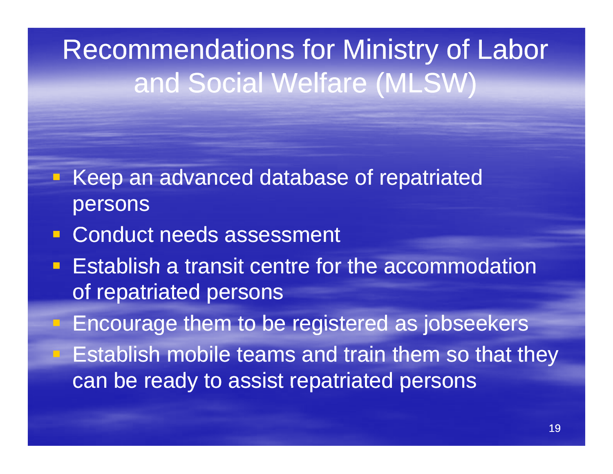## Recommendations for Ministry of Labor and Social Welfare (MLSW)

- **Keep an advanced database of repatriated** persons
- **E** Conduct needs assessment
- **Establish a transit centre for the accommodation** of repatriated persons
- Encourage them to be registered as jobseekers
- Establish mobile teams and train them so that they can be ready to assist repatriated persons be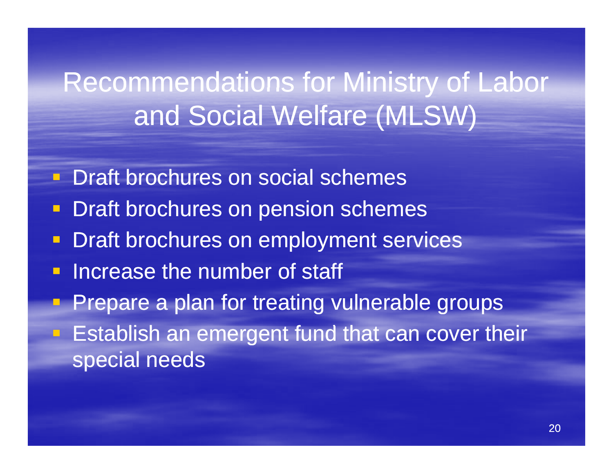## Recommendations for Ministry of Labor and Social Welfare (MLSW)

- **Draft brochures on social schemes**
- $\Box$ Draft brochures on pension schemes
- Draft brochures on employment services
- $\Box$ **I Increase the number of staff**
- Prepare a plan for treating vulnerable groups
- **E** Establish an emergent fund that can cover their special needs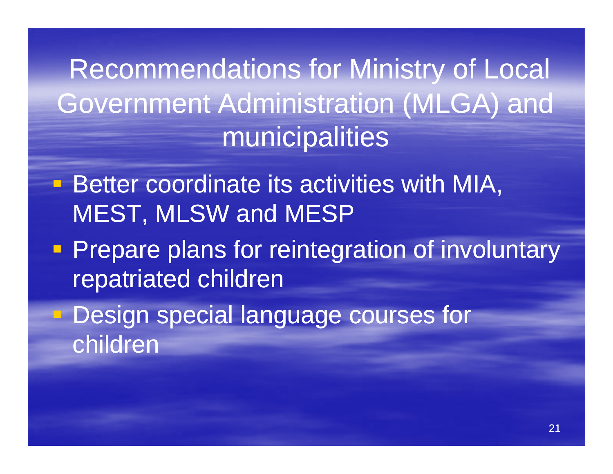Recommendations for Ministry of Local Government Administration (MLGA) and munici palities

- **Better coordinate its activities with MIA,** MEST, MLSW and MESP
- **Prepare plans for reintegration of involuntary** repatriated children
- **Design special language courses for** children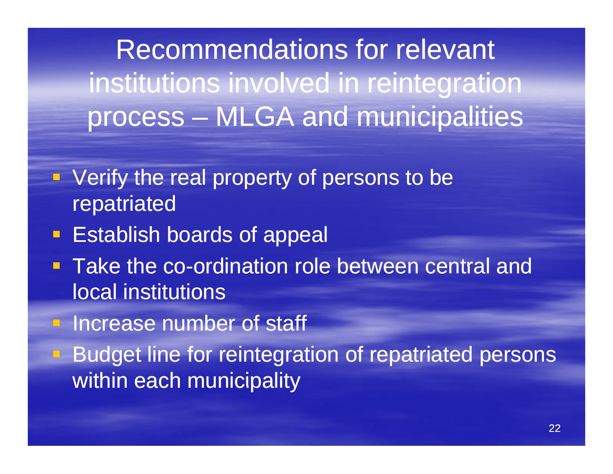Recommendations for relevant institutions involved in reintegration process – MLGA and municipalities

- **Verify the real property of persons to be** repatriated
- **Establish boards of appeal**
- **Take the co-ordination role between central and** local institutions
- **Increase number of staff**
- Budget line for reintegration of repatriated persons within each municipality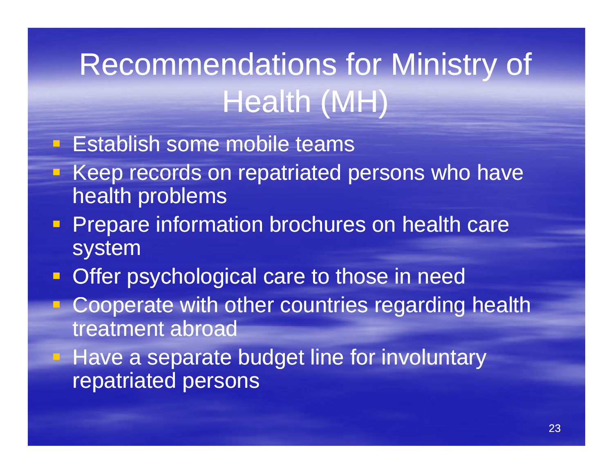# Recommendations for Ministry of Health (MH)

- **Establish some mobile teams**
- **EXEEP FECORDS ON REPATRATED PERSONS Who have** health problems
- **Prepare information brochures on health care** system
- Offer psychological care to those in need
- Cooperate with other countries regarding health treatment abroad
- **Have a separate budget line for involuntary** repatriated persons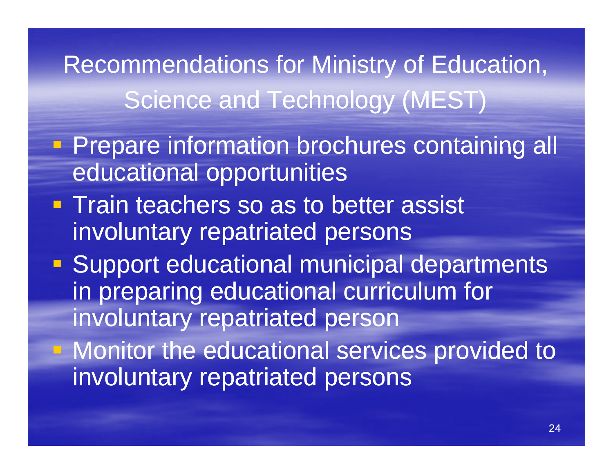Recommendations for Ministry of Education, Science and Technology (MEST)

- **Prepare information brochures containing all** educational opportunities
- **Train teachers so as to better assist** involuntary repatriated persons
- **Support educational municipal departments** in preparing educational curriculum for involuntary repatriated person
- **Monitor the educational services provided to** involuntary repatriated persons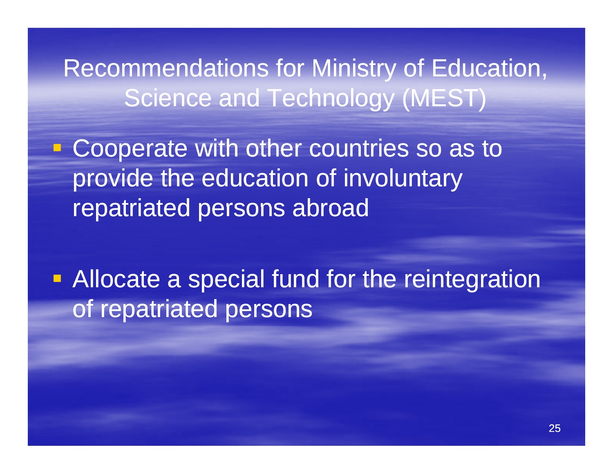Recommendations for Ministry of Education, Science and Technology (MEST)

 Cooperate with other countries so as to as to provide the education of involuntary repatriated persons abroad

**- Allocate a special fund for the reintegration** of repatriated persons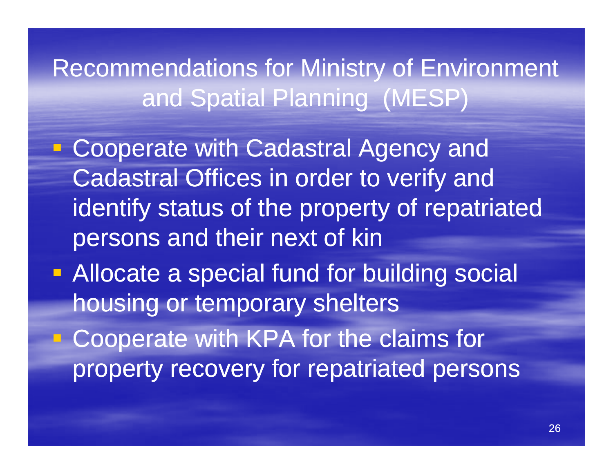Recommendations for Ministry of Environment and Spatial Planning (MESP)

- **E Cooperate with Cadastral Agency and** Cadastral Offices in order to verify and identify status of the property of repatriated persons and their next of kin
- **Allocate a special fund for building social** housing or temporary shelters
- Cooperate with KPA for the claims for property recovery for repatriated persons